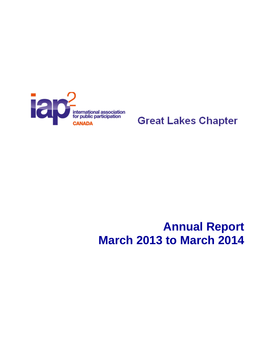

# **Great Lakes Chapter**

# **Annual Report March 2013 to March 2014**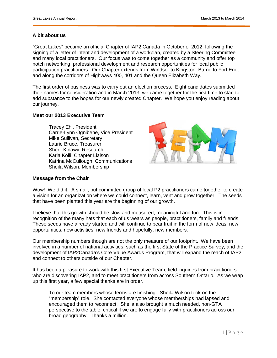### **A bit about us**

"Great Lakes" became an official Chapter of IAP2 Canada in October of 2012, following the signing of a letter of intent and development of a workplan, created by a Steering Committee and many local practitioners. Our focus was to come together as a community and offer top notch networking, professional development and research opportunities for local public participation practitioners. Our Chapter extends from Windsor to Kingston; Barrie to Fort Erie; and along the corridors of Highways 400, 401 and the Queen Elizabeth Way.

The first order of business was to carry out an election process. Eight candidates submitted their names for consideration and in March 2013, we came together for the first time to start to add substance to the hopes for our newly created Chapter. We hope you enjoy reading about our journey.

#### **Meet our 2013 Executive Team**

Tracey Ehl, President Carrie-Lynn Ognibene, Vice President Mike Sullivan, Secretary Laurie Bruce, Treasurer Sherif Kinawy, Research Karla Kolli, Chapter Liaison Katrina McCullough, Communications Sheila Wilson, Membership



#### **Message from the Chair**

Wow! We did it. A small, but committed group of local P2 practitioners came together to create a vision for an organization where we could connect, learn, vent and grow together. The seeds that have been planted this year are the beginning of our growth.

I believe that this growth should be slow and measured, meaningful and fun. This is in recognition of the many hats that each of us wears as people, practitioners, family and friends. These seeds have already started and will continue to bear fruit in the form of new ideas, new opportunities, new activities, new friends and hopefully, new members.

Our membership numbers though are not the only measure of our footprint. We have been involved in a number of national activities, such as the first State of the Practice Survey, and the development of IAP2Canada's Core Value Awards Program, that will expand the reach of IAP2 and connect to others outside of our Chapter.

It has been a pleasure to work with this first Executive Team, field inquiries from practitioners who are discovering IAP2, and to meet practitioners from across Southern Ontario. As we wrap up this first year, a few special thanks are in order.

- To our team members whose terms are finishing. Sheila Wilson took on the "membership" role. She contacted everyone whose memberships had lapsed and encouraged them to reconnect. Sheila also brought a much needed, non-GTA perspective to the table, critical if we are to engage fully with practitioners across our broad geography. Thanks a million.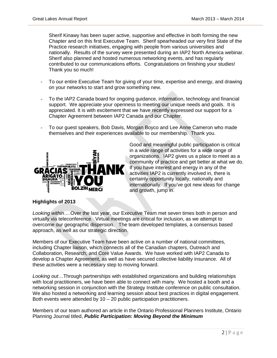Sherif Kinawy has been super active, supportive and effective in both forming the new Chapter and on this first Executive Team. Sherif spearheaded our very first State of the Practice research initiatives, engaging with people from various universities and nationally. Results of the survey were presented during an IAP2 North America webinar. Sherif also planned and hosted numerous networking events, and has regularly contributed to our communications efforts. Congratulations on finishing your studies! Thank you so much!

- To our entire Executive Team for giving of your time, expertise and energy, and drawing on your networks to start and grow something new.
- To the IAP2 Canada board for ongoing guidance, information, technology and financial support. We appreciate your openness to meeting our unique needs and goals. It is appreciated. It is with excitement that we have recently expressed our support for a Chapter Agreement between IAP2 Canada and our Chapter.
- To our guest speakers, Bob Davis, Morgan Boyco and Lee Anne Cameron who made themselves and their experiences available to our membership. Thank you.



Good and meaningful public participation is critical in a wide range of activities for a wide range of organizations. IAP2 gives us a place to meet as a community of practice and get better at what we do. If you have interest and energy in any of the activities IAP2 is currently involved in, there is certainly opportunity locally, nationally and internationally. If you've got new ideas for change and growth, jump in.

# **Highlights of 2013**

*Looking within…*.Over the last year, our Executive Team met seven times both in person and virtually via teleconference. Virtual meetings are critical for inclusion, as we attempt to overcome our geographic dispersion. The team developed templates, a consensus based approach, as well as our strategic direction.

Members of our Executive Team have been active on a number of national committees, including Chapter liaison, which connects all of the Canadian chapters, Outreach and Collaboration, Research, and Core Value Awards. We have worked with IAP2 Canada to develop a Chapter Agreement, as well as have secured collective liability insurance. All of these activities were a necessary step to moving forward.

*Looking out…*Through partnerships with established organizations and building relationships with local practitioners, we have been able to connect with many. We hosted a booth and a networking session in conjunction with the Strategy Institute conference on public consultation. We also hosted a networking and learning session about best practices in digital engagement. Both events were attended by  $10 - 20$  public participation practitioners.

Members of our team authored an article in the Ontario Professional Planners Institute, Ontario Planning Journal titled, *Public Participation: Moving Beyond the Minimum*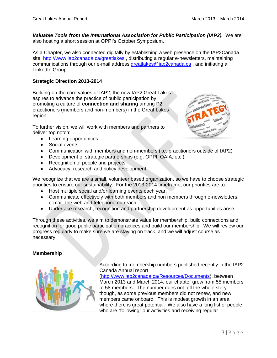**Valuable Tools from the International Association for Public Participation (IAP2).** We are also hosting a short session at OPPI's October Symposium.

As a Chapter, we also connected digitally by establishing a web presence on the IAP2Canada site,<http://www.iap2canada.ca/greatlakes> , distributing a regular e-newsletters, maintaining communications through our e-mail address [greatlakes@iap2canada.ca](mailto:greatlakes@iap2canada.ca) , and initiating a LinkedIn Group.

# **Strategic Direction 2013-2014**

Building on the core values of IAP2, the new IAP2 Great Lakes aspires to advance the practice of public participation by promoting a culture of **connection and sharing** among P2 practitioners (members and non-members) in the Great Lakes region.

To further vision, we will work with members and partners to deliver top notch:

- Learning opportunities
- Social events
- Communication with members and non-members (i.e. practitioners outside of IAP2)
- Development of strategic partnerships (e.g. OPPI, OAIA, etc.)
- Recognition of people and projects
- Advocacy, research and policy development

We recognize that we are a small, volunteer based organization, so we have to choose strategic priorities to ensure our sustainability. For the 2013-2014 timeframe, our priorities are to:

- Host multiple social and/or learning events each year.
- Communicate effectively with both members and non members through e-newsletters, e-mail, the web and telephone outreach.
- Undertake research, recognition and partnership development as opportunities arise.

Through these activities, we aim to demonstrate value for membership, build connections and recognition for good public participation practices and build our membership. We will review our progress regularly to make sure we are staying on track, and we will adjust course as necessary.

#### **Membership**



According to membership numbers published recently in the IAP2 Canada Annual report

[\(http://www.iap2canada.ca/Resources/Documents\)](http://www.iap2canada.ca/Resources/Documents), between March 2013 and March 2014, our chapter grew from 55 members to 58 members. The number does not tell the whole story though, as some previous members did not renew, and new members came onboard. This is modest growth in an area where there is great potential. We also have a long list of people who are "following" our activities and receiving regular